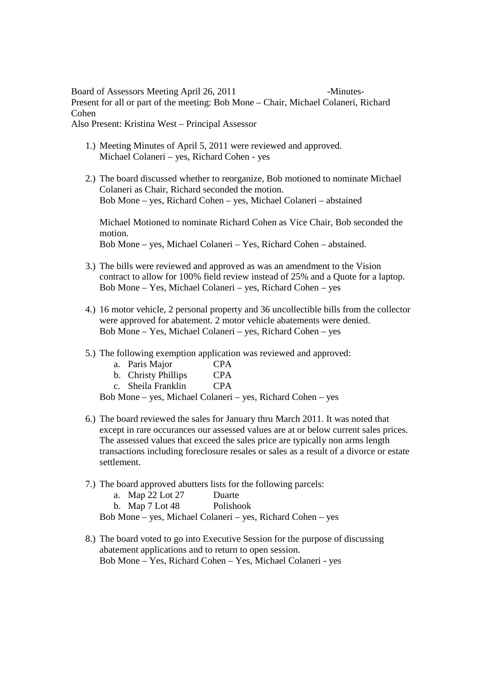## Board of Assessors Meeting April 26, 2011 -Minutes-Present for all or part of the meeting: Bob Mone – Chair, Michael Colaneri, Richard Cohen Also Present: Kristina West – Principal Assessor

- 1.) Meeting Minutes of April 5, 2011 were reviewed and approved. Michael Colaneri – yes, Richard Cohen - yes
- 2.) The board discussed whether to reorganize, Bob motioned to nominate Michael Colaneri as Chair, Richard seconded the motion. Bob Mone – yes, Richard Cohen – yes, Michael Colaneri – abstained

Michael Motioned to nominate Richard Cohen as Vice Chair, Bob seconded the motion. Bob Mone – yes, Michael Colaneri – Yes, Richard Cohen – abstained.

- 3.) The bills were reviewed and approved as was an amendment to the Vision contract to allow for 100% field review instead of 25% and a Quote for a laptop. Bob Mone – Yes, Michael Colaneri – yes, Richard Cohen – yes
- 4.) 16 motor vehicle, 2 personal property and 36 uncollectible bills from the collector were approved for abatement. 2 motor vehicle abatements were denied. Bob Mone – Yes, Michael Colaneri – yes, Richard Cohen – yes
- 5.) The following exemption application was reviewed and approved:

| a. | Paris Major | <b>CPA</b> |
|----|-------------|------------|
|----|-------------|------------|

|  | b. Christy Phillips | <b>CPA</b> |
|--|---------------------|------------|
|--|---------------------|------------|

c. Sheila Franklin CPA

Bob Mone – yes, Michael Colaneri – yes, Richard Cohen – yes

- 6.) The board reviewed the sales for January thru March 2011. It was noted that except in rare occurances our assessed values are at or below current sales prices. The assessed values that exceed the sales price are typically non arms length transactions including foreclosure resales or sales as a result of a divorce or estate settlement.
- 7.) The board approved abutters lists for the following parcels:

| a. Map 22 Lot 27  | Duarte    |  |
|-------------------|-----------|--|
| b. Map $7$ Lot 48 | Polishook |  |

Bob Mone – yes, Michael Colaneri – yes, Richard Cohen – yes

8.) The board voted to go into Executive Session for the purpose of discussing abatement applications and to return to open session. Bob Mone – Yes, Richard Cohen – Yes, Michael Colaneri - yes